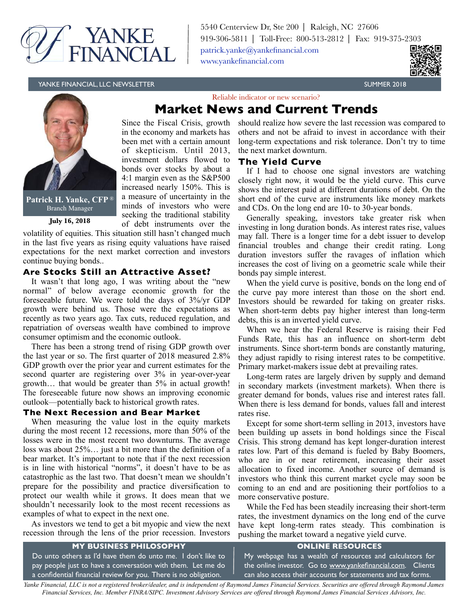

5540 Centerview Dr, Ste 200 ⎜ Raleigh, NC 27606 919-306-5811 | Toll-Free: 800-513-2812 | Fax: 919-375-2303 [patrick.yanke@yankefinancial.com](mailto:?subject=) [www.yankefinancial.com](http://www.yankefinancial.com)

YANKE FINANCIAL, LLC NEWSLETTER SUMMER 2018 SUMMER 2018





**Patrick H. Yanke, CFP** ® Branch Manager

**July 16, 2018**

volatility of equities. This situation still hasn't changed much in the last five years as rising equity valuations have raised expectations for the next market correction and investors continue buying bonds..

Since the Fiscal Crisis, growth in the economy and markets has been met with a certain amount of skepticism. Until 2013, investment dollars flowed to bonds over stocks by about a 4:1 margin even as the S&P500 increased nearly 150%. This is a measure of uncertainty in the minds of investors who were seeking the traditional stability of debt instruments over the

# **Are Stocks Still an Attractive Asset?**

It wasn't that long ago, I was writing about the "new normal" of below average economic growth for the foreseeable future. We were told the days of 3%/yr GDP growth were behind us. Those were the expectations as recently as two years ago. Tax cuts, reduced regulation, and repatriation of overseas wealth have combined to improve consumer optimism and the economic outlook.

There has been a strong trend of rising GDP growth over the last year or so. The first quarter of 2018 measured 2.8% GDP growth over the prior year and current estimates for the second quarter are registering over 3% in year-over-year growth… that would be greater than 5% in actual growth! The foreseeable future now shows an improving economic outlook—potentially back to historical growth rates.

## **The Next Recession and Bear Market**

When measuring the value lost in the equity markets during the most recent 12 recessions, more than 50% of the losses were in the most recent two downturns. The average loss was about 25%… just a bit more than the definition of a bear market. It's important to note that if the next recession is in line with historical "norms", it doesn't have to be as catastrophic as the last two. That doesn't mean we shouldn't prepare for the possibility and practice diversification to protect our wealth while it grows. It does mean that we shouldn't necessarily look to the most recent recessions as examples of what to expect in the next one.

As investors we tend to get a bit myopic and view the next recession through the lens of the prior recession. Investors should realize how severe the last recession was compared to others and not be afraid to invest in accordance with their long-term expectations and risk tolerance. Don't try to time the next market downturn.

# **The Yield Curve**

Reliable indicator or new scenario? **Market News and Current Trends**

> If I had to choose one signal investors are watching closely right now, it would be the yield curve. This curve shows the interest paid at different durations of debt. On the short end of the curve are instruments like money markets and CDs. On the long end are 10- to 30-year bonds.

> Generally speaking, investors take greater risk when investing in long duration bonds. As interest rates rise, values may fall. There is a longer time for a debt issuer to develop financial troubles and change their credit rating. Long duration investors suffer the ravages of inflation which increases the cost of living on a geometric scale while their bonds pay simple interest.

> When the yield curve is positive, bonds on the long end of the curve pay more interest than those on the short end. Investors should be rewarded for taking on greater risks. When short-term debts pay higher interest than long-term debts, this is an inverted yield curve.

> When we hear the Federal Reserve is raising their Fed Funds Rate, this has an influence on short-term debt instruments. Since short-term bonds are constantly maturing, they adjust rapidly to rising interest rates to be competitive. Primary market-makers issue debt at prevailing rates.

> Long-term rates are largely driven by supply and demand in secondary markets (investment markets). When there is greater demand for bonds, values rise and interest rates fall. When there is less demand for bonds, values fall and interest rates rise.

> Except for some short-term selling in 2013, investors have been building up assets in bond holdings since the Fiscal Crisis. This strong demand has kept longer-duration interest rates low. Part of this demand is fueled by Baby Boomers, who are in or near retirement, increasing their asset allocation to fixed income. Another source of demand is investors who think this current market cycle may soon be coming to an end and are positioning their portfolios to a more conservative posture.

> While the Fed has been steadily increasing their short-term rates, the investment dynamics on the long end of the curve have kept long-term rates steady. This combination is pushing the market toward a negative yield curve.

# **MY BUSINESS PHILOSOPHY**

Do unto others as I'd have them do unto me. I don't like to pay people just to have a conversation with them. Let me do a confidential financial review for you. There is no obligation.

# **ONLINE RESOURCES**

My webpage has a wealth of resources and calculators for the online investor. Go to [www.yankefinancial.com](http://www.yankefinancial.com). Clients can also access their accounts for statements and tax forms.

*Yanke Financial, LLC is not a registered broker/dealer, and is independent of Raymond James Financial Services. Securities are offered through Raymond James Financial Services, Inc. Member FINRA/SIPC. Investment Advisory Services are offered through Raymond James Financial Services Advisors, Inc.*